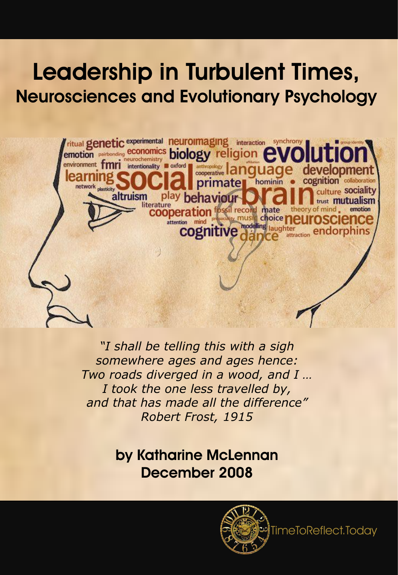# Leadership in Turbulent Times, Neurosciences and Evolutionary Psychology



*"I shall be telling this with a sigh somewhere ages and ages hence: Two roads diverged in a wood, and I … I took the one less travelled by, and that has made all the difference" Robert Frost, 1915*

> by Katharine McLennan December 2008



TimeToReflect.Today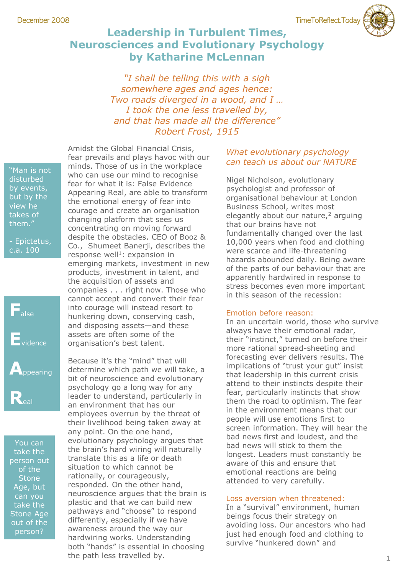# **Leadership in Turbulent Times, Neurosciences and Evolutionary Psychology by Katharine McLennan**

*"I shall be telling this with a sigh somewhere ages and ages hence: Two roads diverged in a wood, and I … I took the one less travelled by, and that has made all the difference" Robert Frost, 1915*

"Man is not disturbed by events, but by the view he takes of them."

- Epictetus, c.a. 100



You can take the person out of the **Stone** Age, but can you take the Stone Age out of the person?

Amidst the Global Financial Crisis, fear prevails and plays havoc with our minds. Those of us in the workplace who can use our mind to recognise fear for what it is: False Evidence Appearing Real, are able to transform the emotional energy of fear into courage and create an organisation changing platform that sees us concentrating on moving forward despite the obstacles. CEO of Booz & Co., Shumeet Banerji, describes the response well<sup>1</sup>: expansion in emerging markets, investment in new products, investment in talent, and the acquisition of assets and companies . . . right now. Those who cannot accept and convert their fear into courage will instead resort to hunkering down, conserving cash, and disposing assets—and these assets are often some of the organisation's best talent.

Because it's the "mind" that will determine which path we will take, a bit of neuroscience and evolutionary psychology go a long way for any leader to understand, particularly in an environment that has our employees overrun by the threat of their livelihood being taken away at any point. On the one hand, evolutionary psychology argues that the brain's hard wiring will naturally translate this as a life or death situation to which cannot be rationally, or courageously, responded. On the other hand, neuroscience argues that the brain is plastic and that we can build new pathways and "choose" to respond differently, especially if we have awareness around the way our hardwiring works. Understanding both "hands" is essential in choosing the path less travelled by.

### *What evolutionary psychology can teach us about our NATURE*

Nigel Nicholson, evolutionary psychologist and professor of organisational behaviour at London Business School, writes most elegantly about our nature,<sup>2</sup> arguing that our brains have not fundamentally changed over the last 10,000 years when food and clothing were scarce and life-threatening hazards abounded daily. Being aware of the parts of our behaviour that are apparently hardwired in response to stress becomes even more important in this season of the recession:

#### Emotion before reason:

In an uncertain world, those who survive always have their emotional radar, their "instinct," turned on before their more rational spread-sheeting and forecasting ever delivers results. The implications of "trust your gut" insist that leadership in this current crisis attend to their instincts despite their fear, particularly instincts that show them the road to optimism. The fear in the environment means that our people will use emotions first to screen information. They will hear the bad news first and loudest, and the bad news will stick to them the longest. Leaders must constantly be aware of this and ensure that emotional reactions are being attended to very carefully.

#### Loss aversion when threatened:

In a "survival" environment, human beings focus their strategy on avoiding loss. Our ancestors who had just had enough food and clothing to survive "hunkered down" and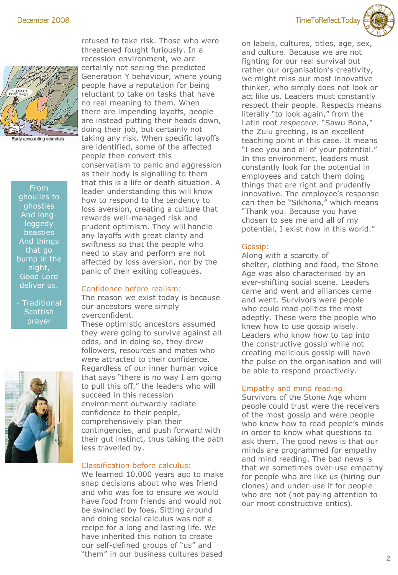



Early accounting scandals

From ghoulies to ghosties And longleggedy beasties And things that go bump in the night, Good Lord deliver us.

- Traditional **Scottish** prayer



refused to take risk. Those who were threatened fought furiously. In a recession environment, we are certainly not seeing the predicted Generation Y behaviour, where young people have a reputation for being reluctant to take on tasks that have no real meaning to them. When there are impending layoffs, people are instead putting their heads down, doing their job, but certainly not taking any risk. When specific layoffs are identified, some of the affected people then convert this conservatism to panic and aggression as their body is signalling to them that this is a life or death situation. A leader understanding this will know how to respond to the tendency to loss aversion, creating a culture that rewards well-managed risk and prudent optimism. They will handle any layoffs with great clarity and swiftness so that the people who need to stay and perform are not affected by loss aversion, nor by the panic of their exiting colleagues.

#### Confidence before realism:

The reason we exist today is because our ancestors were simply overconfident.

These optimistic ancestors assumed they were going to survive against all odds, and in doing so, they drew followers, resources and mates who were attracted to their confidence. Regardless of our inner human voice that says "there is no way I am going to pull this off," the leaders who will succeed in this recession environment outwardly radiate confidence to their people, comprehensively plan their contingencies, and push forward with their gut instinct, thus taking the path less travelled by.

#### Classification before calculus:

We learned 10,000 years ago to make snap decisions about who was friend and who was foe to ensure we would have food from friends and would not be swindled by foes. Sitting around and doing social calculus was not a recipe for a long and lasting life. We have inherited this notion to create our self-defined groups of "us" and "them" in our business cultures based

on labels, cultures, titles, age, sex, and culture. Because we are not fighting for our real survival but rather our organisation's creativity, we might miss our most innovative thinker, who simply does not look or act like us. Leaders must constantly respect their people. Respects means literally "to look again," from the Latin root *respecere*. "Sawu Bona," the Zulu greeting, is an excellent teaching point in this case. It means "I see you and all of your potential." In this environment, leaders must constantly look for the potential in employees and catch them doing things that are right and prudently innovative. The employee's response can then be "Sikhona," which means "Thank you. Because you have chosen to see me and all of my potential, I exist now in this world."

#### Gossip:

Along with a scarcity of shelter, clothing and food, the Stone Age was also characterised by an ever-shifting social scene. Leaders came and went and alliances came and went. Survivors were people who could read politics the most adeptly. These were the people who knew how to use gossip wisely. Leaders who know how to tap into the constructive gossip while not creating malicious gossip will have the pulse on the organisation and will be able to respond proactively.

#### Empathy and mind reading:

Survivors of the Stone Age whom people could trust were the receivers of the most gossip and were people who knew how to read people's minds in order to know what questions to ask them. The good news is that our minds are programmed for empathy and mind reading. The bad news is that we sometimes over-use empathy for people who are like us (hiring our clones) and under-use it for people who are not (not paying attention to our most constructive critics).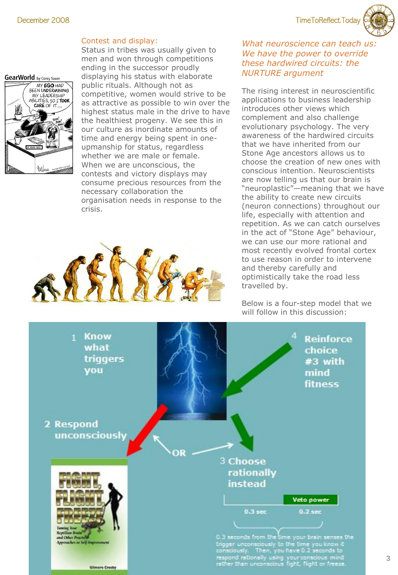December 2008 TimeToReflect.Today

#### Contest and display:

GearWorld by Corey Sauer



Status in tribes was usually given to men and won through competitions ending in the successor proudly displaying his status with elaborate public rituals. Although not as competitive, women would strive to be as attractive as possible to win over the highest status male in the drive to have the healthiest progeny. We see this in our culture as inordinate amounts of time and energy being spent in oneupmanship for status, regardless whether we are male or female. When we are unconscious, the contests and victory displays may consume precious resources from the necessary collaboration the organisation needs in response to the crisis.



### *What neuroscience can teach us: We have the power to override these hardwired circuits: the NURTURE argument*

The rising interest in neuroscientific applications to business leadership introduces other views which complement and also challenge evolutionary psychology. The very awareness of the hardwired circuits that we have inherited from our Stone Age ancestors allows us to choose the creation of new ones with conscious intention. Neuroscientists are now telling us that our brain is "neuroplastic"—meaning that we have the ability to create new circuits (neuron connections) throughout our life, especially with attention and repetition. As we can catch ourselves in the act of "Stone Age" behaviour, we can use our more rational and most recently evolved frontal cortex to use reason in order to intervene and thereby carefully and optimistically take the road less travelled by.

Below is a four-step model that we will follow in this discussion:

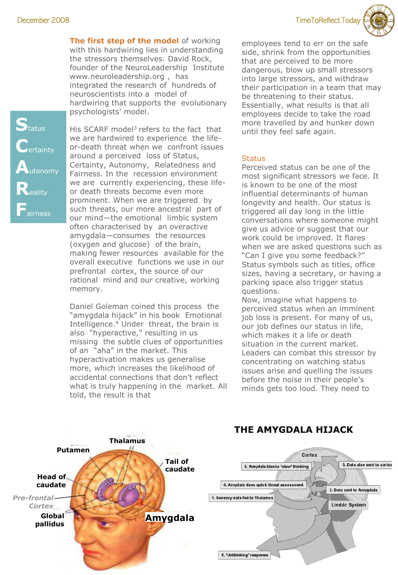**The first step of the model** of working with this hardwiring lies in understanding the stressors themselves. David Rock, founder of the NeuroLeadership Institute www.neuroleadership.org , has integrated the research of hundreds of neuroscientists into a model of hardwiring that supports the evolutionary psychologists' model.

His SCARF model<sup>3</sup> refers to the fact that we are hardwired to experience the lifeor-death threat when we confront issues around a perceived loss of Status, Certainty, Autonomy, Relatedness and Fairness. In the recession environment we are currently experiencing, these lifeor death threats become even more prominent. When we are triggered by such threats, our more ancestral part of our mind—the emotional limbic system often characterised by an overactive amygdala—consumes the resources (oxygen and glucose) of the brain, making fewer resources available for the overall executive functions we use in our prefrontal cortex, the source of our rational mind and our creative, working memory.

Daniel Goleman coined this process the "amygdala hijack" in his book Emotional Intelligence.<sup>4</sup> Under threat, the brain is also "hyperactive," resulting in us missing the subtle clues of opportunities of an "aha" in the market. This hyperactivation makes us generalise more, which increases the likelihood of accidental connections that don't reflect what is truly happening in the market. All told, the result is that

employees tend to err on the safe side, shrink from the opportunities that are perceived to be more dangerous, blow up small stressors into large stressors, and withdraw their participation in a team that may be threatening to their status. Essentially, what results is that all employees decide to take the road more travelled by and hunker down until they feel safe again.

#### **Status**

Perceived status can be one of the most significant stressors we face. It is known to be one of the most influential determinants of human longevity and health. Our status is triggered all day long in the little conversations where someone might give us advice or suggest that our work could be improved. It flares when we are asked questions such as "Can I give you some feedback?" Status symbols such as titles, office sizes, having a secretary, or having a parking space also trigger status questions.

Now, imagine what happens to perceived status when an imminent job loss is present. For many of us, our job defines our status in life, which makes it a life or death situation in the current market. Leaders can combat this stressor by concentrating on watching status issues arise and quelling the issues before the noise in their people's minds gets too loud. They need to



# **THE AMYGDALA HIJACK**



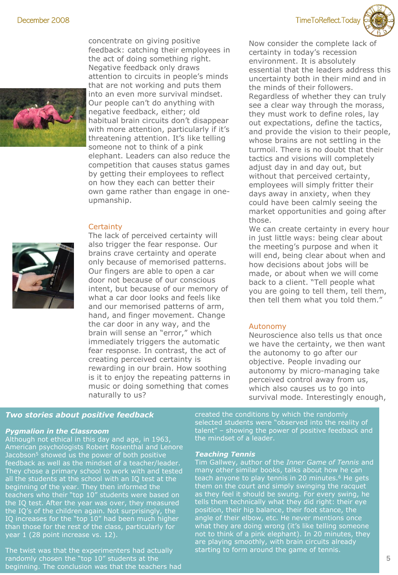

concentrate on giving positive feedback: catching their employees in the act of doing something right. Negative feedback only draws attention to circuits in people's minds that are not working and puts them into an even more survival mindset. Our people can't do anything with negative feedback, either; old habitual brain circuits don't disappear with more attention, particularly if it's threatening attention. It's like telling someone not to think of a pink elephant. Leaders can also reduce the competition that causes status games by getting their employees to reflect on how they each can better their own game rather than engage in oneupmanship.

#### **Certainty**



The lack of perceived certainty will also trigger the fear response. Our brains crave certainty and operate only because of memorised patterns. Our fingers are able to open a car door not because of our conscious intent, but because of our memory of what a car door looks and feels like and our memorised patterns of arm, hand, and finger movement. Change the car door in any way, and the brain will sense an "error," which immediately triggers the automatic fear response. In contrast, the act of creating perceived certainty is rewarding in our brain. How soothing is it to enjoy the repeating patterns in music or doing something that comes naturally to us?



Now consider the complete lack of certainty in today's recession environment. It is absolutely essential that the leaders address this uncertainty both in their mind and in the minds of their followers. Regardless of whether they can truly see a clear way through the morass, they must work to define roles, lay out expectations, define the tactics, and provide the vision to their people, whose brains are not settling in the turmoil. There is no doubt that their tactics and visions will completely adjust day in and day out, but without that perceived certainty, employees will simply fritter their days away in anxiety, when they could have been calmly seeing the market opportunities and going after those.

We can create certainty in every hour in just little ways: being clear about the meeting's purpose and when it will end, being clear about when and how decisions about jobs will be made, or about when we will come back to a client. "Tell people what you are going to tell them, tell them, then tell them what you told them."

#### Autonomy

Neuroscience also tells us that once we have the certainty, we then want the autonomy to go after our objective. People invading our autonomy by micro-managing take perceived control away from us, which also causes us to go into survival mode. Interestingly enough,

#### *Two stories about positive feedback*

#### *Pygmalion in the Classroom*

Although not ethical in this day and age, in 1963, American psychologists Robert Rosenthal and Lenore Jacobson<sup>5</sup> showed us the power of both positive feedback as well as the mindset of a teacher/leader. They chose a primary school to work with and tested all the students at the school with an IQ test at the beginning of the year. They then informed the teachers who their "top 10" students were based on the IQ test. After the year was over, they measured the IQ's of the children again. Not surprisingly, the IQ increases for the "top 10" had been much higher than those for the rest of the class, particularly for year 1 (28 point increase vs. 12).

The twist was that the experimenters had actually randomly chosen the "top 10" students at the beginning. The conclusion was that the teachers had created the conditions by which the randomly selected students were "observed into the reality of talent" – showing the power of positive feedback and the mindset of a leader.

#### *Teaching Tennis*

Tim Gallwey, author of the *Inner Game of Tennis* and many other similar books, talks about how he can teach anyone to play tennis in 20 minutes.<sup>6</sup> He gets them on the court and simply swinging the racquet as they feel it should be swung. For every swing, he tells them technically what they did right: their eye position, their hip balance, their foot stance, the angle of their elbow, etc. He never mentions once what they are doing wrong (it's like telling someone not to think of a pink elephant). In 20 minutes, they are playing smoothly, with brain circuits already starting to form around the game of tennis.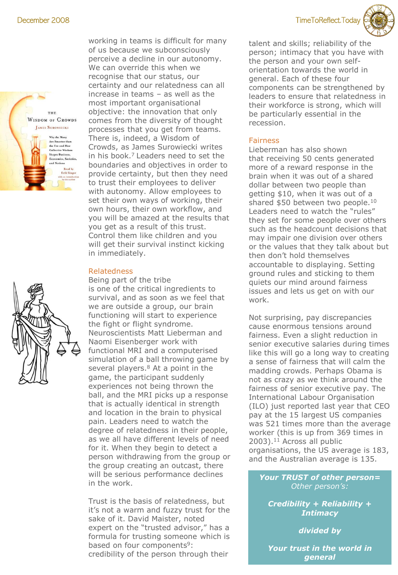

working in teams is difficult for many of us because we subconsciously perceive a decline in our autonomy. We can override this when we recognise that our status, our certainty and our relatedness can all increase in teams – as well as the most important organisational objective: the innovation that only comes from the diversity of thought processes that you get from teams. There is, indeed, a Wisdom of Crowds, as James Surowiecki writes in his book. $7$  Leaders need to set the boundaries and objectives in order to provide certainty, but then they need to trust their employees to deliver with autonomy. Allow employees to set their own ways of working, their own hours, their own workflow, and you will be amazed at the results that you get as a result of this trust. Control them like children and you will get their survival instinct kicking in immediately.

#### Relatedness

Being part of the tribe is one of the critical ingredients to survival, and as soon as we feel that we are outside a group, our brain functioning will start to experience the fight or flight syndrome. Neuroscientists Matt Lieberman and Naomi Eisenberger work with functional MRI and a computerised simulation of a ball throwing game by several players. $8$  At a point in the game, the participant suddenly experiences not being thrown the ball, and the MRI picks up a response that is actually identical in strength and location in the brain to physical pain. Leaders need to watch the degree of relatedness in their people, as we all have different levels of need for it. When they begin to detect a person withdrawing from the group or the group creating an outcast, there will be serious performance declines in the work.

Trust is the basis of relatedness, but it's not a warm and fuzzy trust for the sake of it. David Maister, noted expert on the "trusted advisor," has a formula for trusting someone which is based on four components<sup>9</sup>: credibility of the person through their

December 2008 TimeToReflect.Today

talent and skills; reliability of the person; intimacy that you have with the person and your own selforientation towards the world in general. Each of these four components can be strengthened by leaders to ensure that relatedness in their workforce is strong, which will be particularly essential in the recession.

### Fairness

Lieberman has also shown that receiving 50 cents generated more of a reward response in the brain when it was out of a shared dollar between two people than getting \$10, when it was out of a shared \$50 between two people.<sup>10</sup> Leaders need to watch the "rules" they set for some people over others such as the headcount decisions that may impair one division over others or the values that they talk about but then don't hold themselves accountable to displaying. Setting ground rules and sticking to them quiets our mind around fairness issues and lets us get on with our work.

Not surprising, pay discrepancies cause enormous tensions around fairness. Even a slight reduction in senior executive salaries during times like this will go a long way to creating a sense of fairness that will calm the madding crowds. Perhaps Obama is not as crazy as we think around the fairness of senior executive pay. The International Labour Organisation (ILO) just reported last year that CEO pay at the 15 largest US companies was 521 times more than the average worker (this is up from 369 times in 2003).<sup>11</sup> Across all public organisations, the US average is 183, and the Australian average is 135.

*Your TRUST of other person= Other person's:*

*Credibility + Reliability + Intimacy*

*divided by*

*Your trust in the world in general*

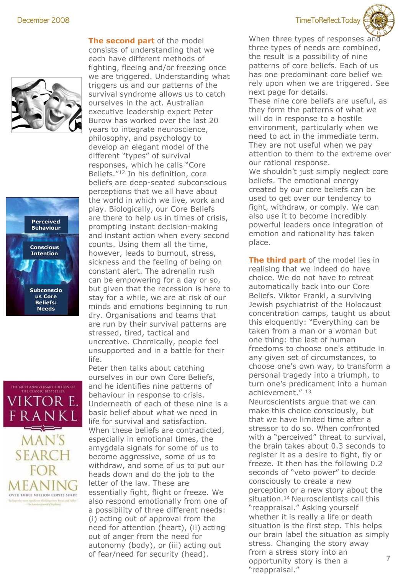





**The second part** of the model consists of understanding that we each have different methods of fighting, fleeing and/or freezing once we are triggered. Understanding what triggers us and our patterns of the survival syndrome allows us to catch ourselves in the act. Australian executive leadership expert Peter Burow has worked over the last 20 years to integrate neuroscience, philosophy, and psychology to develop an elegant model of the different "types" of survival responses, which he calls "Core Beliefs."<sup>12</sup> In his definition, core beliefs are deep-seated subconscious perceptions that we all have about the world in which we live, work and play. Biologically, our Core Beliefs are there to help us in times of crisis, prompting instant decision-making and instant action when every second counts. Using them all the time, however, leads to burnout, stress, sickness and the feeling of being on constant alert. The adrenalin rush can be empowering for a day or so, but given that the recession is here to stay for a while, we are at risk of our minds and emotions beginning to run dry. Organisations and teams that are run by their survival patterns are stressed, tired, tactical and uncreative. Chemically, people feel unsupported and in a battle for their life.

Peter then talks about catching ourselves in our own Core Beliefs, and he identifies nine patterns of behaviour in response to crisis. Underneath of each of these nine is a basic belief about what we need in life for survival and satisfaction. When these beliefs are contradicted, especially in emotional times, the amygdala signals for some of us to become aggressive, some of us to withdraw, and some of us to put our heads down and do the job to the letter of the law. These are essentially fight, flight or freeze. We also respond emotionally from one of a possibility of three different needs: (i) acting out of approval from the need for attention (heart), (ii) acting out of anger from the need for autonomy (body), or (iii) acting out of fear/need for security (head).

December 2008 TimeToReflect.Today



When three types of responses and three types of needs are combined, the result is a possibility of nine patterns of core beliefs. Each of us has one predominant core belief we rely upon when we are triggered. See next page for details.

These nine core beliefs are useful, as they form the patterns of what we will do in response to a hostile environment, particularly when we need to act in the immediate term. They are not useful when we pay attention to them to the extreme over our rational response. We shouldn't just simply neglect core beliefs. The emotional energy created by our core beliefs can be used to get over our tendency to fight, withdraw, or comply. We can also use it to become incredibly powerful leaders once integration of emotion and rationality has taken place.

**The third part** of the model lies in realising that we indeed do have choice. We do not have to retreat automatically back into our Core Beliefs. Viktor Frankl, a surviving Jewish psychiatrist of the Holocaust concentration camps, taught us about this eloquently: "Everything can be taken from a man or a woman but one thing: the last of human freedoms to choose one's attitude in any given set of circumstances, to choose one's own way, to transform a personal tragedy into a triumph, to turn one's predicament into a human achievement."<sup>13</sup>

**7** Neuroscientists argue that we can make this choice consciously, but that we have limited time after a stressor to do so. When confronted with a "perceived" threat to survival, the brain takes about 0.3 seconds to register it as a desire to fight, fly or freeze. It then has the following 0.2 seconds of "veto power" to decide consciously to create a new perception or a new story about the situation.<sup>14</sup> Neuroscientists call this "reappraisal." Asking yourself whether it is really a life or death situation is the first step. This helps our brain label the situation as simply stress. Changing the story away from a stress story into an opportunity story is then a "reappraisal."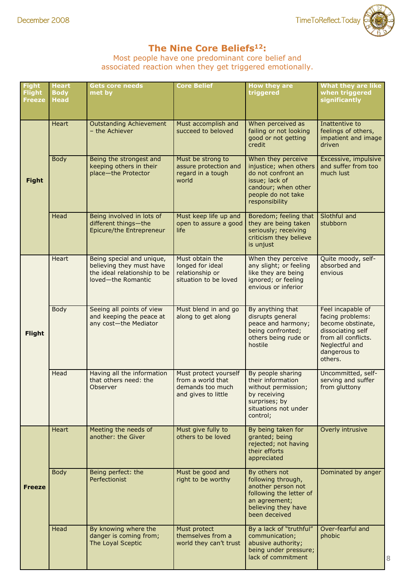# **The Nine Core Beliefs<sup>12</sup>:**

Most people have one predominant core belief and associated reaction when they get triggered emotionally.

| <b>Fight</b><br><b>Flight</b><br><b>Freeze</b> | <b>Heart</b><br><b>Body</b><br><b>Head</b> | <b>Gets core needs</b><br>met by                                                                            | <b>Core Belief</b>                                                                    | <b>How they are</b><br>triggered                                                                                                                    | <b>What they are like</b><br>when triggered<br>significantly                                                                                        |
|------------------------------------------------|--------------------------------------------|-------------------------------------------------------------------------------------------------------------|---------------------------------------------------------------------------------------|-----------------------------------------------------------------------------------------------------------------------------------------------------|-----------------------------------------------------------------------------------------------------------------------------------------------------|
| <b>Fight</b>                                   | <b>Heart</b>                               | <b>Outstanding Achievement</b><br>- the Achiever                                                            | Must accomplish and<br>succeed to beloved                                             | When perceived as<br>failing or not looking<br>good or not getting<br>credit                                                                        | Inattentive to<br>feelings of others,<br>impatient and image<br>driven                                                                              |
|                                                | <b>Body</b>                                | Being the strongest and<br>keeping others in their<br>place-the Protector                                   | Must be strong to<br>assure protection and<br>regard in a tough<br>world              | When they perceive<br>injustice; when others<br>do not confront an<br>issue; lack of<br>candour; when other<br>people do not take<br>responsibility | Excessive, impulsive<br>and suffer from too<br>much lust                                                                                            |
|                                                | Head                                       | Being involved in lots of<br>different things-the<br>Epicure/the Entrepreneur                               | Must keep life up and<br>open to assure a good<br>life                                | Boredom; feeling that<br>they are being taken<br>seriously; receiving<br>criticism they believe<br>is unjust                                        | Slothful and<br>stubborn                                                                                                                            |
| <b>Flight</b>                                  | <b>Heart</b>                               | Being special and unique,<br>believing they must have<br>the ideal relationship to be<br>loved-the Romantic | Must obtain the<br>longed for ideal<br>relationship or<br>situation to be loved       | When they perceive<br>any slight; or feeling<br>like they are being<br>ignored; or feeling<br>envious or inferior                                   | Quite moody, self-<br>absorbed and<br>envious                                                                                                       |
|                                                | <b>Body</b>                                | Seeing all points of view<br>and keeping the peace at<br>any cost-the Mediator                              | Must blend in and go<br>along to get along                                            | By anything that<br>disrupts general<br>peace and harmony;<br>being confronted;<br>others being rude or<br>hostile                                  | Feel incapable of<br>facing problems:<br>become obstinate,<br>dissociating self<br>from all conflicts.<br>Neglectful and<br>dangerous to<br>others. |
|                                                | Head                                       | Having all the information<br>that others need: the<br>Observer                                             | Must protect yourself<br>from a world that<br>demands too much<br>and gives to little | By people sharing<br>their information<br>without permission;<br>by receiving<br>surprises; by<br>situations not under<br>control;                  | Uncommitted, self-<br>serving and suffer<br>from gluttony                                                                                           |
| <b>Freeze</b>                                  | <b>Heart</b>                               | Meeting the needs of<br>another: the Giver                                                                  | Must give fully to<br>others to be loved                                              | By being taken for<br>granted; being<br>rejected; not having<br>their efforts<br>appreciated                                                        | Overly intrusive                                                                                                                                    |
|                                                | <b>Body</b>                                | Being perfect: the<br>Perfectionist                                                                         | Must be good and<br>right to be worthy                                                | By others not<br>following through,<br>another person not<br>following the letter of<br>an agreement;<br>believing they have<br>been deceived       | Dominated by anger                                                                                                                                  |
|                                                | Head                                       | By knowing where the<br>danger is coming from;<br>The Loyal Sceptic                                         | Must protect<br>themselves from a<br>world they can't trust                           | By a lack of "truthful"<br>communication;<br>abusive authority;<br>being under pressure;<br>lack of commitment                                      | Over-fearful and<br>phobic<br>8                                                                                                                     |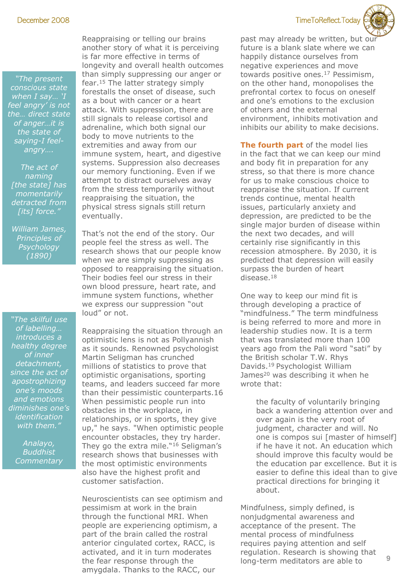December 2008 TimeToReflect.Today



*"The present conscious state when I say… 'I feel angry' is not the… direct state of anger…it is the state of saying-I feelangry….*

*The act of naming [the state] has momentarily detracted from [its] force."*

*William James, Principles of Psychology (1890)*

*"The skilful use of labelling… introduces a healthy degree of inner detachment, since the act of apostrophizing one's moods and emotions diminishes one's identification with them."*

> *Analayo, Buddhist Commentary*

Reappraising or telling our brains another story of what it is perceiving is far more effective in terms of longevity and overall health outcomes than simply suppressing our anger or fear.<sup>15</sup> The latter strategy simply forestalls the onset of disease, such as a bout with cancer or a heart attack. With suppression, there are still signals to release cortisol and adrenaline, which both signal our body to move nutrients to the extremities and away from our immune system, heart, and digestive systems. Suppression also decreases our memory functioning. Even if we attempt to distract ourselves away from the stress temporarily without reappraising the situation, the physical stress signals still return eventually.

That's not the end of the story. Our people feel the stress as well. The research shows that our people know when we are simply suppressing as opposed to reappraising the situation. Their bodies feel our stress in their own blood pressure, heart rate, and immune system functions, whether we express our suppression "out loud" or not.

Reappraising the situation through an optimistic lens is not as Pollyannish as it sounds. Renowned psychologist Martin Seligman has crunched millions of statistics to prove that optimistic organisations, sporting teams, and leaders succeed far more than their pessimistic counterparts.16 When pessimistic people run into obstacles in the workplace, in relationships, or in sports, they give up," he says. "When optimistic people encounter obstacles, they try harder. They go the extra mile."<sup>16</sup> Seligman's research shows that businesses with the most optimistic environments also have the highest profit and customer satisfaction.

Neuroscientists can see optimism and pessimism at work in the brain through the functional MRI. When people are experiencing optimism, a part of the brain called the rostral anterior cingulated cortex, RACC, is activated, and it in turn moderates the fear response through the amygdala. Thanks to the RACC, our

past may already be written, but our future is a blank slate where we can happily distance ourselves from negative experiences and move towards positive ones.<sup>17</sup> Pessimism, on the other hand, monopolises the prefrontal cortex to focus on oneself and one's emotions to the exclusion of others and the external environment, inhibits motivation and inhibits our ability to make decisions.

**The fourth part** of the model lies in the fact that we can keep our mind and body fit in preparation for any stress, so that there is more chance for us to make conscious choice to reappraise the situation. If current trends continue, mental health issues, particularly anxiety and depression, are predicted to be the single major burden of disease within the next two decades, and will certainly rise significantly in this recession atmosphere. By 2030, it is predicted that depression will easily surpass the burden of heart disease.<sup>18</sup>

One way to keep our mind fit is through developing a practice of "mindfulness." The term mindfulness is being referred to more and more in leadership studies now. It is a term that was translated more than 100 years ago from the Pali word "sati" by the British scholar T.W. Rhys Davids.<sup>19</sup> Psychologist William James<sup>20</sup> was describing it when he wrote that:

> the faculty of voluntarily bringing back a wandering attention over and over again is the very root of judgment, character and will. No one is compos sui [master of himself] if he have it not. An education which should improve this faculty would be the education par excellence. But it is easier to define this ideal than to give practical directions for bringing it about.

Mindfulness, simply defined, is nonjudgmental awareness and acceptance of the present. The mental process of mindfulness requires paying attention and self regulation. Research is showing that long-term meditators are able to

**9**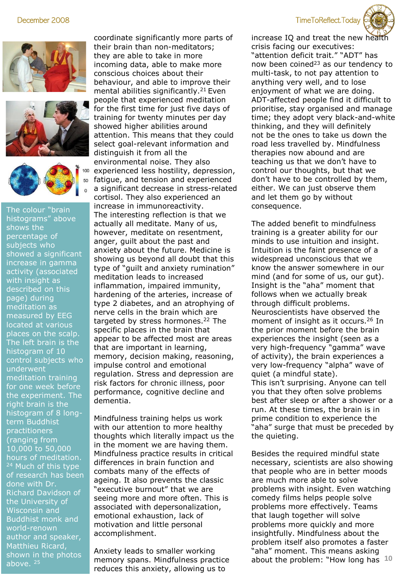





The colour "brain histograms" above shows the percentage of subjects who showed a significant increase in gamma activity (associated with insight as described on this page) during meditation as measured by EEG located at various places on the scalp. The left brain is the histogram of 10 control subjects who underwent meditation training for one week before the experiment. The right brain is the histogram of 8 longterm Buddhist practitioners (ranging from 10,000 to 50,000 hours of meditation. <sup>24</sup> Much of this type of research has been done with Dr. Richard Davidson of the University of Wisconsin and Buddhist monk and world-renown author and speaker, Matthieu Ricard, shown in the photos above. 25

coordinate significantly more parts of their brain than non-meditators; they are able to take in more incoming data, able to make more conscious choices about their behaviour, and able to improve their mental abilities significantly.<sup>21</sup> Even people that experienced meditation for the first time for just five days of training for twenty minutes per day showed higher abilities around attention. This means that they could select goal-relevant information and distinguish it from all the environmental noise. They also experienced less hostility, depression, fatigue, and tension and experienced

a significant decrease in stress-related cortisol. They also experienced an increase in immunoreactivity. The interesting reflection is that we actually all meditate. Many of us, however, meditate on resentment, anger, guilt about the past and anxiety about the future. Medicine is showing us beyond all doubt that this type of "guilt and anxiety rumination" meditation leads to increased inflammation, impaired immunity, hardening of the arteries, increase of type 2 diabetes, and an atrophying of nerve cells in the brain which are targeted by stress hormones.<sup>22</sup> The specific places in the brain that appear to be affected most are areas that are important in learning, memory, decision making, reasoning, impulse control and emotional regulation. Stress and depression are risk factors for chronic illness, poor performance, cognitive decline and dementia.

Mindfulness training helps us work with our attention to more healthy thoughts which literally impact us the in the moment we are having them. Mindfulness practice results in critical differences in brain function and combats many of the effects of ageing. It also prevents the classic "executive burnout" that we are seeing more and more often. This is associated with depersonalization, emotional exhaustion, lack of motivation and little personal accomplishment.

Anxiety leads to smaller working memory spans. Mindfulness practice reduces this anxiety, allowing us to

#### December 2008 TimeToReflect.Today



increase IQ and treat the new hea crisis facing our executives: "attention deficit trait." "ADT" has now been coined<sup>23</sup> as our tendency to multi-task, to not pay attention to anything very well, and to lose enjoyment of what we are doing. ADT-affected people find it difficult to prioritise, stay organised and manage time; they adopt very black-and-white thinking, and they will definitely not be the ones to take us down the road less travelled by. Mindfulness therapies now abound and are teaching us that we don't have to control our thoughts, but that we don't have to be controlled by them, either. We can just observe them and let them go by without consequence.

The added benefit to mindfulness training is a greater ability for our minds to use intuition and insight. Intuition is the faint presence of a widespread unconscious that we know the answer somewhere in our mind (and for some of us, our gut). Insight is the "aha" moment that follows when we actually break through difficult problems. Neuroscientists have observed the moment of insight as it occurs.<sup>26</sup> In the prior moment before the brain experiences the insight (seen as a very high-frequency "gamma" wave of activity), the brain experiences a very low-frequency "alpha" wave of quiet (a mindful state). This isn't surprising. Anyone can tell you that they often solve problems best after sleep or after a shower or a run. At these times, the brain is in prime condition to experience the "aha" surge that must be preceded by the quieting.

**10** about the problem: "How long has Besides the required mindful state necessary, scientists are also showing that people who are in better moods are much more able to solve problems with insight. Even watching comedy films helps people solve problems more effectively. Teams that laugh together will solve problems more quickly and more insightfully. Mindfulness about the problem itself also promotes a faster "aha" moment. This means asking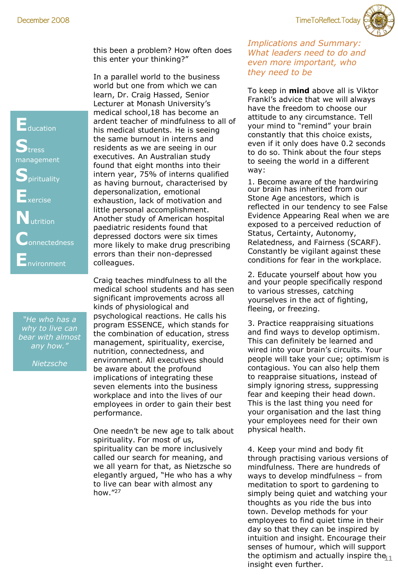December 2008 TimeToReflect.Today



this been a problem? How often does this enter your thinking?"

In a parallel world to the business world but one from which we can learn, Dr. Craig Hassed, Senior Lecturer at Monash University's medical school,18 has become an ardent teacher of mindfulness to all of his medical students. He is seeing the same burnout in interns and residents as we are seeing in our executives. An Australian study found that eight months into their intern year, 75% of interns qualified as having burnout, characterised by depersonalization, emotional exhaustion, lack of motivation and little personal accomplishment. Another study of American hospital paediatric residents found that depressed doctors were six times more likely to make drug prescribing errors than their non-depressed colleagues.

Craig teaches mindfulness to all the medical school students and has seen significant improvements across all kinds of physiological and psychological reactions. He calls his program ESSENCE, which stands for the combination of education, stress management, spirituality, exercise, nutrition, connectedness, and environment. All executives should be aware about the profound implications of integrating these seven elements into the business workplace and into the lives of our employees in order to gain their best performance.

One needn't be new age to talk about spirituality. For most of us, spirituality can be more inclusively called our search for meaning, and we all yearn for that, as Nietzsche so elegantly argued, "He who has a why to live can bear with almost any how."<sup>27</sup>

*Implications and Summary: What leaders need to do and even more important, who they need to be*

To keep in **mind** above all is Viktor Frankl's advice that we will always have the freedom to choose our attitude to any circumstance. Tell your mind to "remind" your brain constantly that this choice exists, even if it only does have 0.2 seconds to do so. Think about the four steps to seeing the world in a different way:

1. Become aware of the hardwiring our brain has inherited from our Stone Age ancestors, which is reflected in our tendency to see False Evidence Appearing Real when we are exposed to a perceived reduction of Status, Certainty, Autonomy, Relatedness, and Fairness (SCARF). Constantly be vigilant against these conditions for fear in the workplace.

2. Educate yourself about how you and your people specifically respond to various stresses, catching yourselves in the act of fighting, fleeing, or freezing.

3. Practice reappraising situations and find ways to develop optimism. This can definitely be learned and wired into your brain's circuits. Your people will take your cue; optimism is contagious. You can also help them to reappraise situations, instead of simply ignoring stress, suppressing fear and keeping their head down. This is the last thing you need for your organisation and the last thing your employees need for their own physical health.

the optimism and actually inspire the<sub>[1</sub>] 4. Keep your mind and body fit through practising various versions of mindfulness. There are hundreds of ways to develop mindfulness – from meditation to sport to gardening to simply being quiet and watching your thoughts as you ride the bus into town. Develop methods for your employees to find quiet time in their day so that they can be inspired by intuition and insight. Encourage their senses of humour, which will support insight even further.

**E**ducation **S**tress management **S**pirituality **E**xercise **N**utrition **CONNECTEDNESS E**nvironment

*"He who has a why to live can bear with almost any how."* 

*Nietzsche*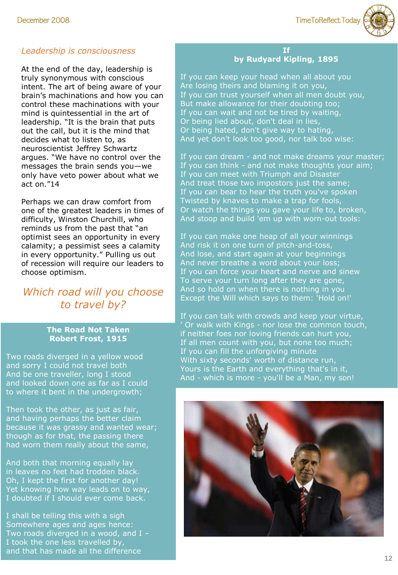

## *Leadership is consciousness*

At the end of the day, leadership is truly synonymous with conscious intent. The art of being aware of your brain's machinations and how you can control these machinations with your mind is quintessential in the art of leadership. "It is the brain that puts out the call, but it is the mind that decides what to listen to, as neuroscientist Jeffrey Schwartz argues. "We have no control over the messages the brain sends you—we only have veto power about what we act on."14

Perhaps we can draw comfort from one of the greatest leaders in times of difficulty, Winston Churchill, who reminds us from the past that "an optimist sees an opportunity in every calamity; a pessimist sees a calamity in every opportunity." Pulling us out of recession will require our leaders to choose optimism.

# *Which road will you choose to travel by?*

#### **The Road Not Taken Robert Frost, 1915**

Two roads diverged in a yellow wood and sorry I could not travel both And be one traveller, long I stood and looked down one as far as I could to where it bent in the undergrowth;

Then took the other, as just as fair, and having perhaps the better claim because it was grassy and wanted wear; though as for that, the passing there had worn them really about the same,

And both that morning equally lay in leaves no feet had trodden black. Oh, I kept the first for another day! Yet knowing how way leads on to way, I doubted if I should ever come back.

I shall be telling this with a sigh Somewhere ages and ages hence: Two roads diverged in a wood, and I -I took the one less travelled by, and that has made all the difference

#### **If by Rudyard Kipling, 1895**

If you can keep your head when all about you Are losing theirs and blaming it on you, If you can trust yourself when all men doubt you, But make allowance for their doubting too; If you can wait and not be tired by waiting, Or being lied about, don't deal in lies, Or being hated, don't give way to hating, And yet don't look too good, nor talk too wise:

If you can dream - and not make dreams your master; If you can think - and not make thoughts your aim; If you can meet with Triumph and Disaster And treat those two impostors just the same; If you can bear to hear the truth you've spoken Twisted by knaves to make a trap for fools, Or watch the things you gave your life to, broken, And stoop and build 'em up with worn-out tools:

If you can make one heap of all your winnings And risk it on one turn of pitch-and-toss, And lose, and start again at your beginnings And never breathe a word about your loss; If you can force your heart and nerve and sinew To serve your turn long after they are gone, And so hold on when there is nothing in you Except the Will which says to them: 'Hold on!'

If you can talk with crowds and keep your virtue, ' Or walk with Kings - nor lose the common touch, if neither foes nor loving friends can hurt you, If all men count with you, but none too much; If you can fill the unforgiving minute With sixty seconds' worth of distance run, Yours is the Earth and everything that's in it, And - which is more - you'll be a Man, my son!